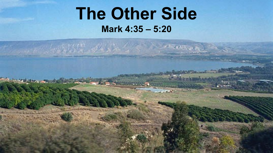# **The Other Side Mark 4:35 – 5:20**

 $\mathcal{A}^{(i)}$  and  $\mathcal{B}^{(i)}$  and  $\mathcal{B}^{(i)}$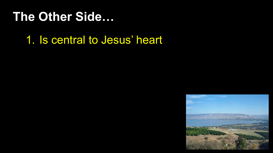#### 1. Is central to Jesus' heart

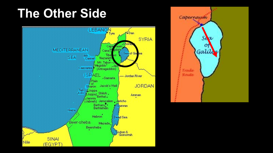

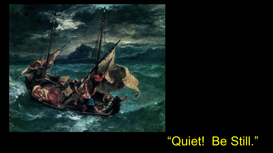

# "Quiet! Be Still."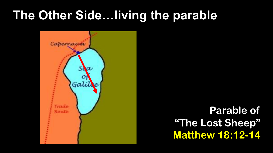## **The Other Side…living the parable**



#### **Parable of "The Lost Sheep" Matthew 18:12-14**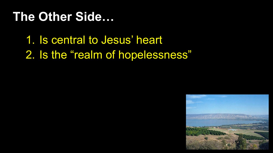1. Is central to Jesus' heart 2. Is the "realm of hopelessness"

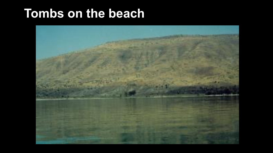## **Tombs on the beach**

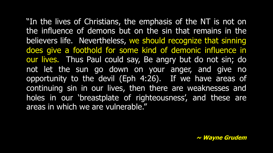"In the lives of Christians, the emphasis of the NT is not on the influence of demons but on the sin that remains in the believers life. Nevertheless, we should recognize that sinning does give a foothold for some kind of demonic influence in our lives. Thus Paul could say, Be angry but do not sin; do not let the sun go down on your anger, and give no opportunity to the devil (Eph 4:26). If we have areas of continuing sin in our lives, then there are weaknesses and holes in our 'breastplate of righteousness', and these are areas in which we are vulnerable."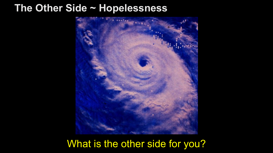#### **The Other Side ~ Hopelessness**



#### What is the other side for you?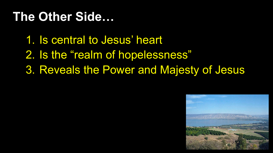- 1. Is central to Jesus' heart
- 2. Is the "realm of hopelessness"
- 3. Reveals the Power and Majesty of Jesus

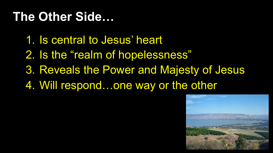- 1. Is central to Jesus' heart
- 2. Is the "realm of hopelessness"
- 3. Reveals the Power and Majesty of Jesus
- 4. Will respond…one way or the other